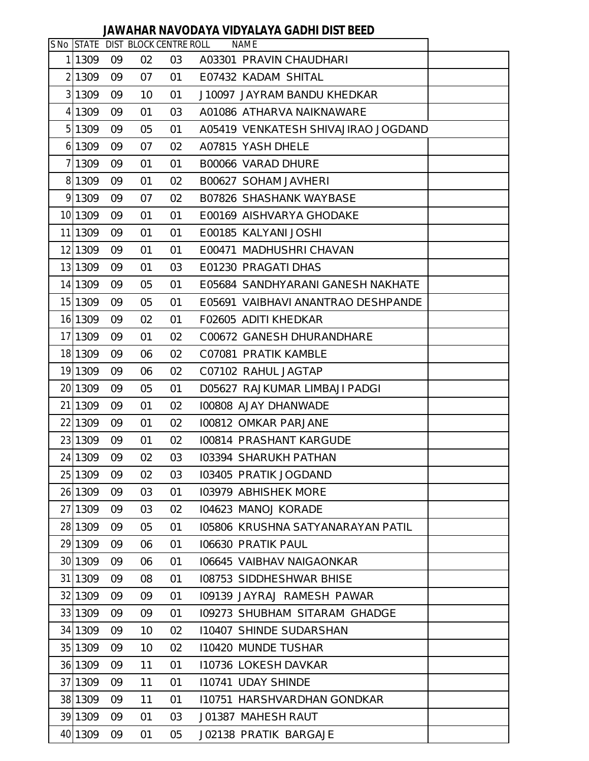## **JAWAHAR NAVODAYA VIDYALAYA GADHI DIST BEED**

|         |    |    | S No STATE DIST BLOCK CENTRE ROLL | <b>NAME</b>                         |  |
|---------|----|----|-----------------------------------|-------------------------------------|--|
| 1 1309  | 09 | 02 | 03                                | A03301 PRAVIN CHAUDHARI             |  |
| 2 1309  | 09 | 07 | 01                                | E07432 KADAM SHITAL                 |  |
| 3 1309  | 09 | 10 | 01                                | J10097 JAYRAM BANDU KHEDKAR         |  |
| 4 1309  | 09 | 01 | 03                                | A01086 ATHARVA NAIKNAWARE           |  |
| 5 1309  | 09 | 05 | 01                                | A05419 VENKATESH SHIVAJIRAO JOGDAND |  |
| 6 1309  | 09 | 07 | 02                                | A07815 YASH DHELE                   |  |
| 7 1309  | 09 | 01 | 01                                | B00066 VARAD DHURE                  |  |
| 8 1309  | 09 | 01 | 02                                | B00627 SOHAM JAVHERI                |  |
| 9 1309  | 09 | 07 | 02                                | B07826 SHASHANK WAYBASE             |  |
| 10 1309 | 09 | 01 | 01                                | E00169 AISHVARYA GHODAKE            |  |
| 11 1309 | 09 | 01 | 01                                | E00185 KALYANI JOSHI                |  |
| 12 1309 | 09 | 01 | 01                                | E00471 MADHUSHRI CHAVAN             |  |
| 13 1309 | 09 | 01 | 03                                | E01230 PRAGATI DHAS                 |  |
| 14 1309 | 09 | 05 | 01                                | E05684 SANDHYARANI GANESH NAKHATE   |  |
| 15 1309 | 09 | 05 | 01                                | E05691 VAIBHAVI ANANTRAO DESHPANDE  |  |
| 16 1309 | 09 | 02 | 01                                | F02605 ADITI KHEDKAR                |  |
| 17 1309 | 09 | 01 | 02                                | C00672 GANESH DHURANDHARE           |  |
| 18 1309 | 09 | 06 | 02                                | C07081 PRATIK KAMBLE                |  |
| 19 1309 | 09 | 06 | 02                                | C07102 RAHUL JAGTAP                 |  |
| 20 1309 | 09 | 05 | 01                                | D05627 RAJKUMAR LIMBAJI PADGI       |  |
| 21 1309 | 09 | 01 | 02                                | 100808 AJAY DHANWADE                |  |
| 22 1309 | 09 | 01 | 02                                | 100812 OMKAR PARJANE                |  |
| 23 1309 | 09 | 01 | 02                                | 100814 PRASHANT KARGUDE             |  |
| 24 1309 | 09 | 02 | 03                                | 103394 SHARUKH PATHAN               |  |
| 25 1309 | 09 | 02 | 03                                | 103405 PRATIK JOGDAND               |  |
| 26 1309 | 09 | 03 | 01                                | 103979 ABHISHEK MORE                |  |
| 27 1309 | 09 | 03 | 02                                | 104623 MANOJ KORADE                 |  |
| 28 1309 | 09 | 05 | 01                                | 105806 KRUSHNA SATYANARAYAN PATIL   |  |
| 29 1309 | 09 | 06 | 01                                | 106630 PRATIK PAUL                  |  |
| 30 1309 | 09 | 06 | 01                                | 106645 VAIBHAV NAIGAONKAR           |  |
| 31 1309 | 09 | 08 | 01                                | 108753 SIDDHESHWAR BHISE            |  |
| 32 1309 | 09 | 09 | 01                                | 109139 JAYRAJ RAMESH PAWAR          |  |
| 33 1309 | 09 | 09 | 01                                | 109273 SHUBHAM SITARAM GHADGE       |  |
| 34 1309 | 09 | 10 | 02                                | <b>I10407 SHINDE SUDARSHAN</b>      |  |
| 35 1309 | 09 | 10 | 02                                | 110420 MUNDE TUSHAR                 |  |
| 36 1309 | 09 | 11 | 01                                | 110736 LOKESH DAVKAR                |  |
| 37 1309 | 09 | 11 | 01                                | 110741 UDAY SHINDE                  |  |
| 38 1309 | 09 | 11 | 01                                | 110751 HARSHVARDHAN GONDKAR         |  |
| 39 1309 | 09 | 01 | 03                                | J01387 MAHESH RAUT                  |  |
| 40 1309 | 09 | 01 | 05                                | J02138 PRATIK BARGAJE               |  |